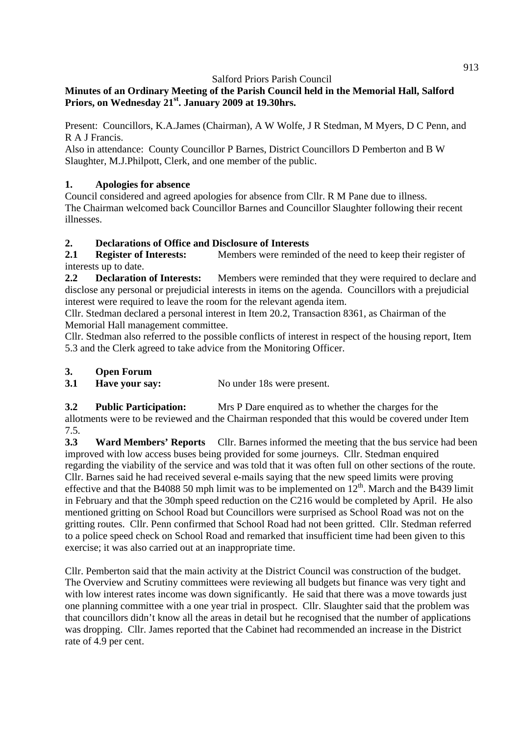### **Minutes of an Ordinary Meeting of the Parish Council held in the Memorial Hall, Salford Priors, on Wednesday 21st. January 2009 at 19.30hrs.**

Present: Councillors, K.A.James (Chairman), A W Wolfe, J R Stedman, M Myers, D C Penn, and R A J Francis.

Also in attendance: County Councillor P Barnes, District Councillors D Pemberton and B W Slaughter, M.J.Philpott, Clerk, and one member of the public.

### **1. Apologies for absence**

Council considered and agreed apologies for absence from Cllr. R M Pane due to illness. The Chairman welcomed back Councillor Barnes and Councillor Slaughter following their recent illnesses.

### **2. Declarations of Office and Disclosure of Interests**

2.1 **Register of Interests:** Members were reminded of the need to keep their register of interests up to date.

**2.2 Declaration of Interests:** Members were reminded that they were required to declare and disclose any personal or prejudicial interests in items on the agenda. Councillors with a prejudicial interest were required to leave the room for the relevant agenda item.

Cllr. Stedman declared a personal interest in Item 20.2, Transaction 8361, as Chairman of the Memorial Hall management committee.

Cllr. Stedman also referred to the possible conflicts of interest in respect of the housing report, Item 5.3 and the Clerk agreed to take advice from the Monitoring Officer.

#### **3. Open Forum**

**3.1 Have your say:** No under 18s were present.

**3.2 Public Participation:** Mrs P Dare enquired as to whether the charges for the allotments were to be reviewed and the Chairman responded that this would be covered under Item 7.5.

**3.3 Ward Members' Reports** Cllr. Barnes informed the meeting that the bus service had been improved with low access buses being provided for some journeys. Cllr. Stedman enquired regarding the viability of the service and was told that it was often full on other sections of the route. Cllr. Barnes said he had received several e-mails saying that the new speed limits were proving effective and that the B4088 50 mph limit was to be implemented on  $12<sup>th</sup>$ . March and the B439 limit in February and that the 30mph speed reduction on the C216 would be completed by April. He also mentioned gritting on School Road but Councillors were surprised as School Road was not on the gritting routes. Cllr. Penn confirmed that School Road had not been gritted. Cllr. Stedman referred to a police speed check on School Road and remarked that insufficient time had been given to this exercise; it was also carried out at an inappropriate time.

Cllr. Pemberton said that the main activity at the District Council was construction of the budget. The Overview and Scrutiny committees were reviewing all budgets but finance was very tight and with low interest rates income was down significantly. He said that there was a move towards just one planning committee with a one year trial in prospect. Cllr. Slaughter said that the problem was that councillors didn't know all the areas in detail but he recognised that the number of applications was dropping. Cllr. James reported that the Cabinet had recommended an increase in the District rate of 4.9 per cent.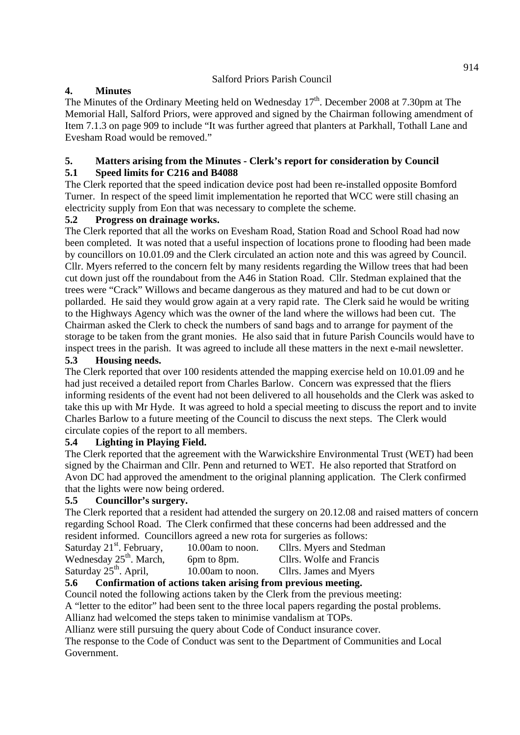### **4. Minutes**

The Minutes of the Ordinary Meeting held on Wednesday  $17<sup>th</sup>$ . December 2008 at 7.30pm at The Memorial Hall, Salford Priors, were approved and signed by the Chairman following amendment of Item 7.1.3 on page 909 to include "It was further agreed that planters at Parkhall, Tothall Lane and Evesham Road would be removed."

#### **5. Matters arising from the Minutes - Clerk's report for consideration by Council 5.1 Speed limits for C216 and B4088**

The Clerk reported that the speed indication device post had been re-installed opposite Bomford Turner. In respect of the speed limit implementation he reported that WCC were still chasing an electricity supply from Eon that was necessary to complete the scheme.

### **5.2 Progress on drainage works.**

The Clerk reported that all the works on Evesham Road, Station Road and School Road had now been completed. It was noted that a useful inspection of locations prone to flooding had been made by councillors on 10.01.09 and the Clerk circulated an action note and this was agreed by Council. Cllr. Myers referred to the concern felt by many residents regarding the Willow trees that had been cut down just off the roundabout from the A46 in Station Road. Cllr. Stedman explained that the trees were "Crack" Willows and became dangerous as they matured and had to be cut down or pollarded. He said they would grow again at a very rapid rate. The Clerk said he would be writing to the Highways Agency which was the owner of the land where the willows had been cut. The Chairman asked the Clerk to check the numbers of sand bags and to arrange for payment of the storage to be taken from the grant monies. He also said that in future Parish Councils would have to inspect trees in the parish. It was agreed to include all these matters in the next e-mail newsletter.

#### **5.3 Housing needs.**

The Clerk reported that over 100 residents attended the mapping exercise held on 10.01.09 and he had just received a detailed report from Charles Barlow. Concern was expressed that the fliers informing residents of the event had not been delivered to all households and the Clerk was asked to take this up with Mr Hyde. It was agreed to hold a special meeting to discuss the report and to invite Charles Barlow to a future meeting of the Council to discuss the next steps. The Clerk would circulate copies of the report to all members.

#### **5.4 Lighting in Playing Field.**

The Clerk reported that the agreement with the Warwickshire Environmental Trust (WET) had been signed by the Chairman and Cllr. Penn and returned to WET. He also reported that Stratford on Avon DC had approved the amendment to the original planning application. The Clerk confirmed that the lights were now being ordered.

#### **5.5 Councillor's surgery.**

The Clerk reported that a resident had attended the surgery on 20.12.08 and raised matters of concern regarding School Road. The Clerk confirmed that these concerns had been addressed and the resident informed. Councillors agreed a new rota for surgeries as follows:

| Saturday 21 <sup>st</sup> . February,                                                  | 10.00am to noon. | Cllrs. Myers and Stedman |  |  |
|----------------------------------------------------------------------------------------|------------------|--------------------------|--|--|
| Wednesday $25th$ . March,                                                              | 6pm to 8pm.      | Cllrs. Wolfe and Francis |  |  |
| Saturday 25 <sup>th</sup> . April,                                                     | 10.00am to noon. | Cllrs. James and Myers   |  |  |
| Confirmation of actions to leap origins from proviers mostlys<br>$\epsilon$ $\epsilon$ |                  |                          |  |  |

# **5.6 Confirmation of actions taken arising from previous meeting.**

Council noted the following actions taken by the Clerk from the previous meeting: A "letter to the editor" had been sent to the three local papers regarding the postal problems.

Allianz had welcomed the steps taken to minimise vandalism at TOPs.

Allianz were still pursuing the query about Code of Conduct insurance cover.

The response to the Code of Conduct was sent to the Department of Communities and Local Government.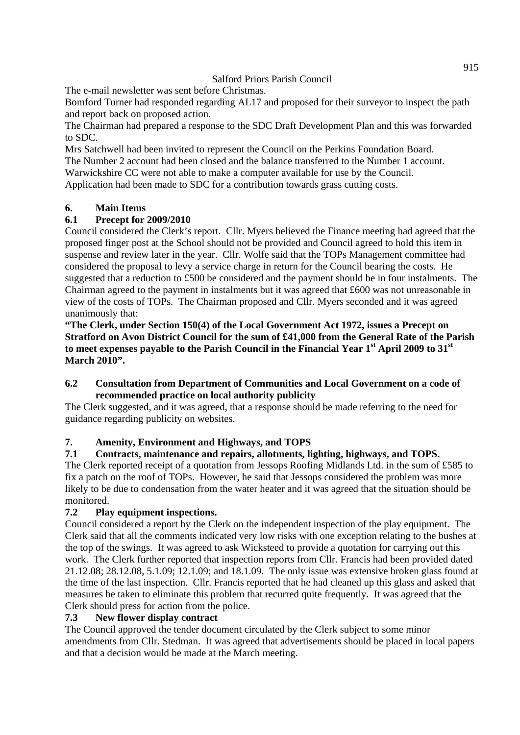The e-mail newsletter was sent before Christmas.

Bomford Turner had responded regarding AL17 and proposed for their surveyor to inspect the path and report back on proposed action.

The Chairman had prepared a response to the SDC Draft Development Plan and this was forwarded to SDC.

Mrs Satchwell had been invited to represent the Council on the Perkins Foundation Board. The Number 2 account had been closed and the balance transferred to the Number 1 account. Warwickshire CC were not able to make a computer available for use by the Council.

Application had been made to SDC for a contribution towards grass cutting costs.

### **6. Main Items**

### **6.1 Precept for 2009/2010**

Council considered the Clerk's report. Cllr. Myers believed the Finance meeting had agreed that the proposed finger post at the School should not be provided and Council agreed to hold this item in suspense and review later in the year. Cllr. Wolfe said that the TOPs Management committee had considered the proposal to levy a service charge in return for the Council bearing the costs. He suggested that a reduction to £500 be considered and the payment should be in four instalments. The Chairman agreed to the payment in instalments but it was agreed that £600 was not unreasonable in view of the costs of TOPs. The Chairman proposed and Cllr. Myers seconded and it was agreed unanimously that:

**"The Clerk, under Section 150(4) of the Local Government Act 1972, issues a Precept on Stratford on Avon District Council for the sum of £41,000 from the General Rate of the Parish to meet expenses payable to the Parish Council in the Financial Year 1st April 2009 to 31st March 2010".** 

#### **6.2 Consultation from Department of Communities and Local Government on a code of recommended practice on local authority publicity**

The Clerk suggested, and it was agreed, that a response should be made referring to the need for guidance regarding publicity on websites.

# **7. Amenity, Environment and Highways, and TOPS**

#### **7.1 Contracts, maintenance and repairs, allotments, lighting, highways, and TOPS.**

The Clerk reported receipt of a quotation from Jessops Roofing Midlands Ltd. in the sum of £585 to fix a patch on the roof of TOPs. However, he said that Jessops considered the problem was more likely to be due to condensation from the water heater and it was agreed that the situation should be monitored.

# **7.2 Play equipment inspections.**

Council considered a report by the Clerk on the independent inspection of the play equipment. The Clerk said that all the comments indicated very low risks with one exception relating to the bushes at the top of the swings. It was agreed to ask Wicksteed to provide a quotation for carrying out this work. The Clerk further reported that inspection reports from Cllr. Francis had been provided dated 21.12.08; 28.12.08, 5.1.09; 12.1.09; and 18.1.09. The only issue was extensive broken glass found at the time of the last inspection. Cllr. Francis reported that he had cleaned up this glass and asked that measures be taken to eliminate this problem that recurred quite frequently. It was agreed that the Clerk should press for action from the police.

#### **7.3 New flower display contract**

The Council approved the tender document circulated by the Clerk subject to some minor amendments from Cllr. Stedman. It was agreed that advertisements should be placed in local papers and that a decision would be made at the March meeting.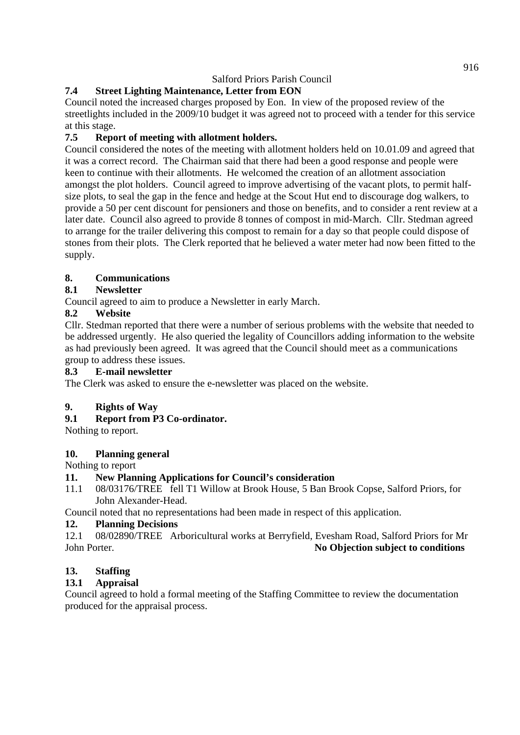# **7.4 Street Lighting Maintenance, Letter from EON**

Council noted the increased charges proposed by Eon. In view of the proposed review of the streetlights included in the 2009/10 budget it was agreed not to proceed with a tender for this service at this stage.

# **7.5 Report of meeting with allotment holders.**

Council considered the notes of the meeting with allotment holders held on 10.01.09 and agreed that it was a correct record. The Chairman said that there had been a good response and people were keen to continue with their allotments. He welcomed the creation of an allotment association amongst the plot holders. Council agreed to improve advertising of the vacant plots, to permit halfsize plots, to seal the gap in the fence and hedge at the Scout Hut end to discourage dog walkers, to provide a 50 per cent discount for pensioners and those on benefits, and to consider a rent review at a later date. Council also agreed to provide 8 tonnes of compost in mid-March. Cllr. Stedman agreed to arrange for the trailer delivering this compost to remain for a day so that people could dispose of stones from their plots. The Clerk reported that he believed a water meter had now been fitted to the supply.

# **8. Communications**

# **8.1 Newsletter**

Council agreed to aim to produce a Newsletter in early March.

# **8.2 Website**

Cllr. Stedman reported that there were a number of serious problems with the website that needed to be addressed urgently. He also queried the legality of Councillors adding information to the website as had previously been agreed. It was agreed that the Council should meet as a communications group to address these issues.

#### **8.3 E-mail newsletter**

The Clerk was asked to ensure the e-newsletter was placed on the website.

# **9. Rights of Way**

# **9.1 Report from P3 Co-ordinator.**

Nothing to report.

# **10. Planning general**

Nothing to report

# **11. New Planning Applications for Council's consideration**

11.1 08/03176/TREE fell T1 Willow at Brook House, 5 Ban Brook Copse, Salford Priors, for John Alexander-Head.

Council noted that no representations had been made in respect of this application.

#### **12. Planning Decisions**

12.1 08/02890/TREE Arboricultural works at Berryfield, Evesham Road, Salford Priors for Mr John Porter. **No Objection subject to conditions** 

# **13. Staffing**

# **13.1 Appraisal**

Council agreed to hold a formal meeting of the Staffing Committee to review the documentation produced for the appraisal process.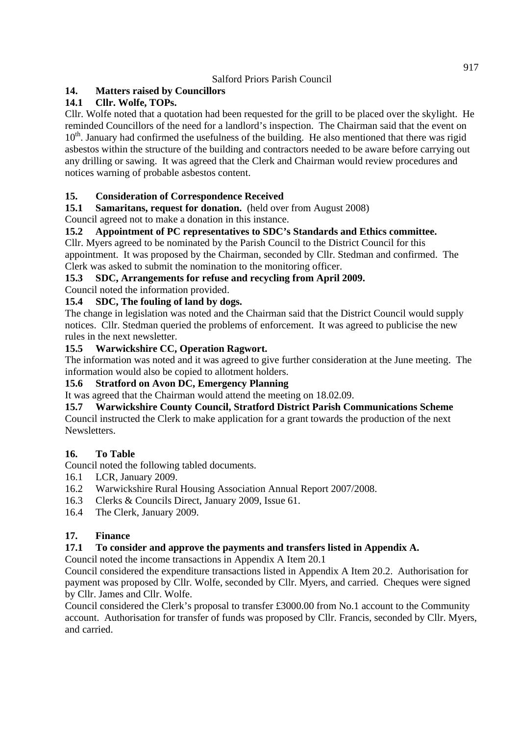# **14. Matters raised by Councillors**

# **14.1 Cllr. Wolfe, TOPs.**

Cllr. Wolfe noted that a quotation had been requested for the grill to be placed over the skylight. He reminded Councillors of the need for a landlord's inspection. The Chairman said that the event on  $10<sup>th</sup>$ . January had confirmed the usefulness of the building. He also mentioned that there was rigid asbestos within the structure of the building and contractors needed to be aware before carrying out any drilling or sawing. It was agreed that the Clerk and Chairman would review procedures and notices warning of probable asbestos content.

# **15. Consideration of Correspondence Received**

**15.1 Samaritans, request for donation.** (held over from August 2008)

Council agreed not to make a donation in this instance.

# **15.2 Appointment of PC representatives to SDC's Standards and Ethics committee.**

Cllr. Myers agreed to be nominated by the Parish Council to the District Council for this appointment. It was proposed by the Chairman, seconded by Cllr. Stedman and confirmed. The Clerk was asked to submit the nomination to the monitoring officer.

### **15.3 SDC, Arrangements for refuse and recycling from April 2009.**

Council noted the information provided.

### **15.4 SDC, The fouling of land by dogs.**

The change in legislation was noted and the Chairman said that the District Council would supply notices. Cllr. Stedman queried the problems of enforcement. It was agreed to publicise the new rules in the next newsletter.

### **15.5 Warwickshire CC, Operation Ragwort.**

The information was noted and it was agreed to give further consideration at the June meeting. The information would also be copied to allotment holders.

#### **15.6 Stratford on Avon DC, Emergency Planning**

It was agreed that the Chairman would attend the meeting on 18.02.09.

**15.7 Warwickshire County Council, Stratford District Parish Communications Scheme**  Council instructed the Clerk to make application for a grant towards the production of the next Newsletters.

# **16. To Table**

Council noted the following tabled documents.

- 16.1 LCR, January 2009.
- 16.2 Warwickshire Rural Housing Association Annual Report 2007/2008.
- 16.3 Clerks & Councils Direct, January 2009, Issue 61.
- 16.4 The Clerk, January 2009.

# **17. Finance**

# **17.1 To consider and approve the payments and transfers listed in Appendix A.**

Council noted the income transactions in Appendix A Item 20.1

Council considered the expenditure transactions listed in Appendix A Item 20.2. Authorisation for payment was proposed by Cllr. Wolfe, seconded by Cllr. Myers, and carried. Cheques were signed by Cllr. James and Cllr. Wolfe.

Council considered the Clerk's proposal to transfer £3000.00 from No.1 account to the Community account. Authorisation for transfer of funds was proposed by Cllr. Francis, seconded by Cllr. Myers, and carried.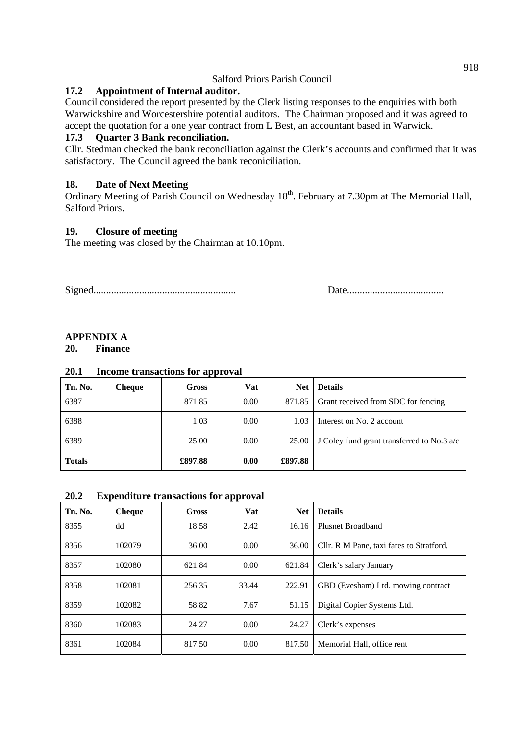#### **17.2 Appointment of Internal auditor.**

Council considered the report presented by the Clerk listing responses to the enquiries with both Warwickshire and Worcestershire potential auditors. The Chairman proposed and it was agreed to accept the quotation for a one year contract from L Best, an accountant based in Warwick.

#### **17.3 Quarter 3 Bank reconciliation.**

Cllr. Stedman checked the bank reconciliation against the Clerk's accounts and confirmed that it was satisfactory. The Council agreed the bank reconiciliation.

#### **18. Date of Next Meeting**

Ordinary Meeting of Parish Council on Wednesday  $18<sup>th</sup>$ . February at 7.30pm at The Memorial Hall, Salford Priors.

#### **19. Closure of meeting**

The meeting was closed by the Chairman at 10.10pm.

Signed........................................................ Date......................................

### **APPENDIX A**

#### **20. Finance**

#### **20.1 Income transactions for approval**

| Tn. No.       | <b>Cheque</b> | <b>Gross</b> | Vat  | <b>Net</b> | <b>Details</b>                             |
|---------------|---------------|--------------|------|------------|--------------------------------------------|
| 6387          |               | 871.85       | 0.00 | 871.85     | Grant received from SDC for fencing        |
| 6388          |               | 1.03         | 0.00 | 1.03       | Interest on No. 2 account                  |
| 6389          |               | 25.00        | 0.00 | 25.00      | J Coley fund grant transferred to No.3 a/c |
| <b>Totals</b> |               | £897.88      | 0.00 | £897.88    |                                            |

#### **20.2 Expenditure transactions for approval**

| Tn. No. | <b>Cheque</b> | Gross  | <b>Vat</b>     | <b>Net</b> | <b>Details</b>                           |
|---------|---------------|--------|----------------|------------|------------------------------------------|
| 8355    | dd            | 18.58  | 2.42           | 16.16      | Plusnet Broadband                        |
| 8356    | 102079        | 36.00  | $0.00^{\circ}$ | 36.00      | Cllr. R M Pane, taxi fares to Stratford. |
| 8357    | 102080        | 621.84 | 0.00           | 621.84     | Clerk's salary January                   |
| 8358    | 102081        | 256.35 | 33.44          | 222.91     | GBD (Evesham) Ltd. mowing contract       |
| 8359    | 102082        | 58.82  | 7.67           | 51.15      | Digital Copier Systems Ltd.              |
| 8360    | 102083        | 24.27  | 0.00           | 24.27      | Clerk's expenses                         |
| 8361    | 102084        | 817.50 | 0.00           | 817.50     | Memorial Hall, office rent               |